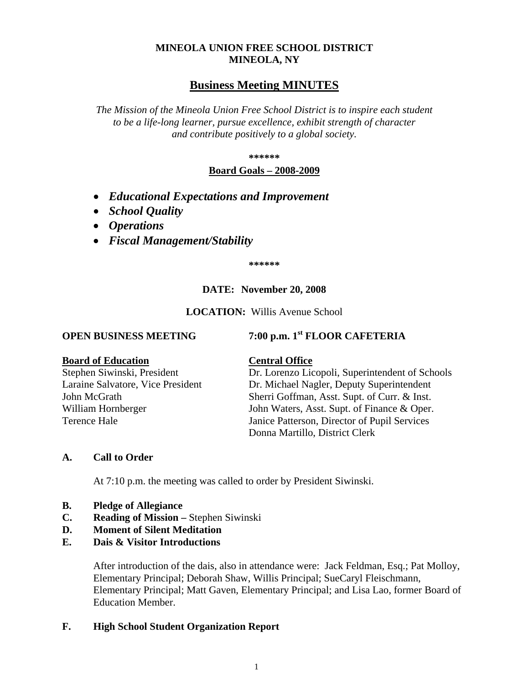### **MINEOLA UNION FREE SCHOOL DISTRICT MINEOLA, NY**

# **Business Meeting MINUTES**

*The Mission of the Mineola Union Free School District is to inspire each student to be a life-long learner, pursue excellence, exhibit strength of character and contribute positively to a global society.*

**\*\*\*\*\*\***

#### **Board Goals – 2008-2009**

- *Educational Expectations and Improvement*
- *School Quality*
- *Operations*
- *Fiscal Management/Stability*

**\*\*\*\*\*\***

#### **DATE: November 20, 2008**

**LOCATION:** Willis Avenue School

**OPEN BUSINESS MEETING 7:00 p.m. 1st FLOOR CAFETERIA**

#### **Board of Education Central Office**

Stephen Siwinski, President Dr. Lorenzo Licopoli, Superintendent of Schools Laraine Salvatore, Vice President Dr. Michael Nagler, Deputy Superintendent John McGrath Sherri Goffman, Asst. Supt. of Curr. & Inst. William Hornberger John Waters, Asst. Supt. of Finance & Oper. Terence Hale Janice Patterson, Director of Pupil Services Donna Martillo, District Clerk

#### **A. Call to Order**

At 7:10 p.m. the meeting was called to order by President Siwinski.

- **B. Pledge of Allegiance**
- **C. Reading of Mission –** Stephen Siwinski
- **D. Moment of Silent Meditation**
- **E. Dais & Visitor Introductions**

After introduction of the dais, also in attendance were: Jack Feldman, Esq.; Pat Molloy, Elementary Principal; Deborah Shaw, Willis Principal; SueCaryl Fleischmann, Elementary Principal; Matt Gaven, Elementary Principal; and Lisa Lao, former Board of Education Member.

#### **F. High School Student Organization Report**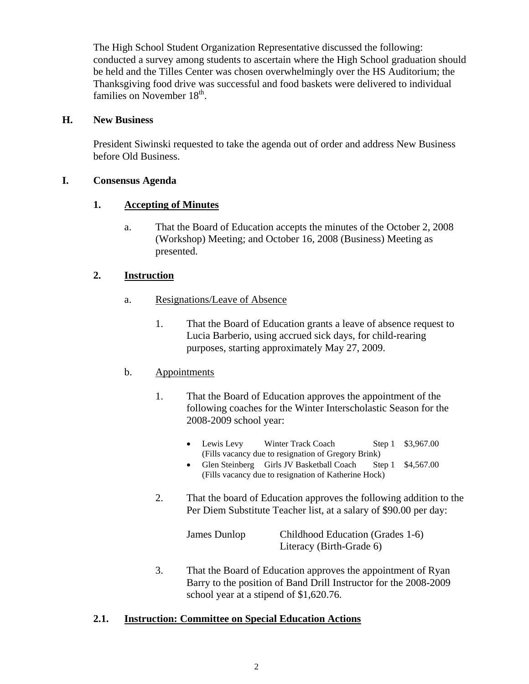The High School Student Organization Representative discussed the following: conducted a survey among students to ascertain where the High School graduation should be held and the Tilles Center was chosen overwhelmingly over the HS Auditorium; the Thanksgiving food drive was successful and food baskets were delivered to individual families on November 18<sup>th</sup>.

### **H. New Business**

President Siwinski requested to take the agenda out of order and address New Business before Old Business.

## **I. Consensus Agenda**

# **1. Accepting of Minutes**

a. That the Board of Education accepts the minutes of the October 2, 2008 (Workshop) Meeting; and October 16, 2008 (Business) Meeting as presented.

# **2. Instruction**

- a. Resignations/Leave of Absence
	- 1. That the Board of Education grants a leave of absence request to Lucia Barberio, using accrued sick days, for child-rearing purposes, starting approximately May 27, 2009.

## b. Appointments

- 1. That the Board of Education approves the appointment of the following coaches for the Winter Interscholastic Season for the 2008-2009 school year:
	- Lewis Levy Winter Track Coach Step 1 \$3,967.00 (Fills vacancy due to resignation of Gregory Brink)
	- Glen Steinberg Girls JV Basketball Coach Step 1 \$4,567.00 (Fills vacancy due to resignation of Katherine Hock)
- 2. That the board of Education approves the following addition to the Per Diem Substitute Teacher list, at a salary of \$90.00 per day:

| James Dunlop | Childhood Education (Grades 1-6) |
|--------------|----------------------------------|
|              | Literacy (Birth-Grade 6)         |

3. That the Board of Education approves the appointment of Ryan Barry to the position of Band Drill Instructor for the 2008-2009 school year at a stipend of \$1,620.76.

## **2.1. Instruction: Committee on Special Education Actions**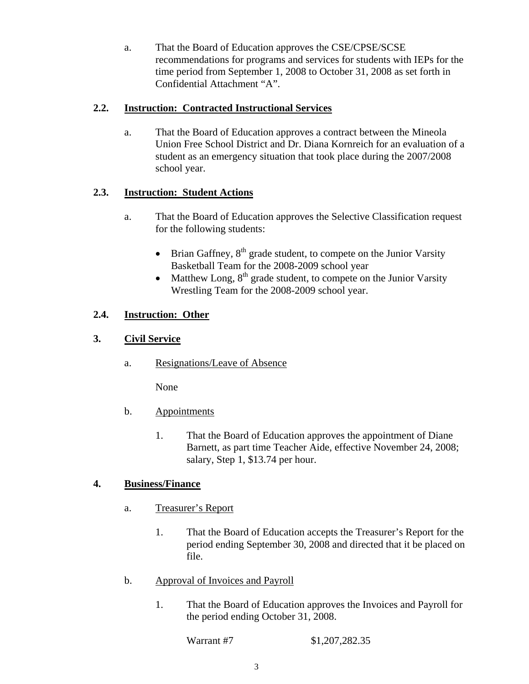a. That the Board of Education approves the CSE/CPSE/SCSE recommendations for programs and services for students with IEPs for the time period from September 1, 2008 to October 31, 2008 as set forth in Confidential Attachment "A".

# **2.2. Instruction: Contracted Instructional Services**

a. That the Board of Education approves a contract between the Mineola Union Free School District and Dr. Diana Kornreich for an evaluation of a student as an emergency situation that took place during the 2007/2008 school year.

# **2.3. Instruction: Student Actions**

- a. That the Board of Education approves the Selective Classification request for the following students:
	- Brian Gaffney,  $8<sup>th</sup>$  grade student, to compete on the Junior Varsity Basketball Team for the 2008-2009 school year
	- Matthew Long,  $8<sup>th</sup>$  grade student, to compete on the Junior Varsity Wrestling Team for the 2008-2009 school year.

# **2.4. Instruction: Other**

# **3. Civil Service**

a. Resignations/Leave of Absence

None

- b. Appointments
	- 1. That the Board of Education approves the appointment of Diane Barnett, as part time Teacher Aide, effective November 24, 2008; salary, Step 1, \$13.74 per hour.

# **4. Business/Finance**

- a. Treasurer's Report
	- 1. That the Board of Education accepts the Treasurer's Report for the period ending September 30, 2008 and directed that it be placed on file.
- b. Approval of Invoices and Payroll
	- 1. That the Board of Education approves the Invoices and Payroll for the period ending October 31, 2008.

Warrant #7 \$1,207,282.35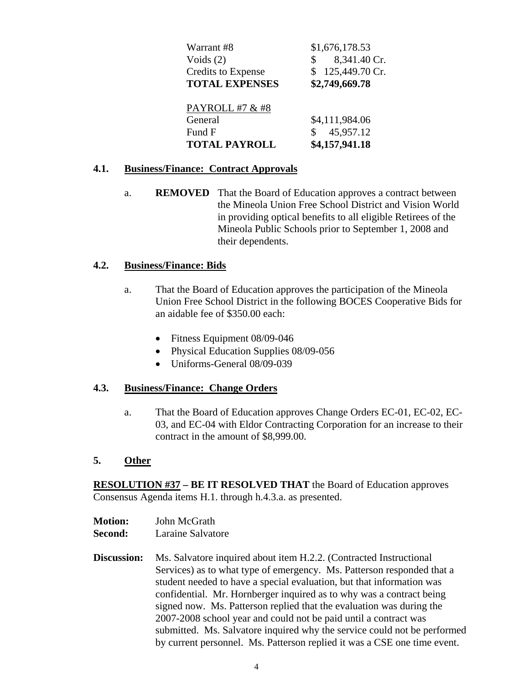| Warrant #8                | \$1,676,178.53                 |
|---------------------------|--------------------------------|
| Voids $(2)$               | 8,341.40 Cr.<br>$\mathbb{S}^-$ |
| <b>Credits to Expense</b> | 125,449.70 Cr.<br>S.           |
| <b>TOTAL EXPENSES</b>     | \$2,749,669.78                 |
|                           |                                |
| PAYROLL #7 & #8           |                                |
| General                   | \$4,111,984.06                 |
| Fund F                    | 45,957.12                      |
| <b>TOTAL PAYROLL</b>      | \$4,157,941.18                 |

#### **4.1. Business/Finance: Contract Approvals**

a. **REMOVED** That the Board of Education approves a contract between the Mineola Union Free School District and Vision World in providing optical benefits to all eligible Retirees of the Mineola Public Schools prior to September 1, 2008 and their dependents.

### **4.2. Business/Finance: Bids**

- a. That the Board of Education approves the participation of the Mineola Union Free School District in the following BOCES Cooperative Bids for an aidable fee of \$350.00 each:
	- Fitness Equipment 08/09-046
	- Physical Education Supplies 08/09-056
	- Uniforms-General 08/09-039

## **4.3. Business/Finance: Change Orders**

a. That the Board of Education approves Change Orders EC-01, EC-02, EC-03, and EC-04 with Eldor Contracting Corporation for an increase to their contract in the amount of \$8,999.00.

#### **5. Other**

**RESOLUTION #37 – BE IT RESOLVED THAT** the Board of Education approves Consensus Agenda items H.1. through h.4.3.a. as presented.

| <b>Motion:</b> | John McGrath      |  |  |
|----------------|-------------------|--|--|
| <b>Second:</b> | Laraine Salvatore |  |  |

**Discussion:** Ms. Salvatore inquired about item H.2.2. (Contracted Instructional Services) as to what type of emergency. Ms. Patterson responded that a student needed to have a special evaluation, but that information was confidential. Mr. Hornberger inquired as to why was a contract being signed now. Ms. Patterson replied that the evaluation was during the 2007-2008 school year and could not be paid until a contract was submitted. Ms. Salvatore inquired why the service could not be performed by current personnel. Ms. Patterson replied it was a CSE one time event.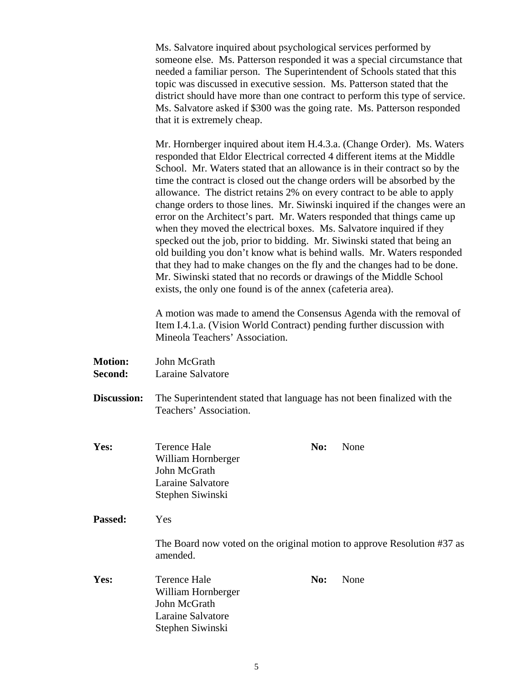Ms. Salvatore inquired about psychological services performed by someone else. Ms. Patterson responded it was a special circumstance that needed a familiar person. The Superintendent of Schools stated that this topic was discussed in executive session. Ms. Patterson stated that the district should have more than one contract to perform this type of service. Ms. Salvatore asked if \$300 was the going rate. Ms. Patterson responded that it is extremely cheap.

Mr. Hornberger inquired about item H.4.3.a. (Change Order). Ms. Waters responded that Eldor Electrical corrected 4 different items at the Middle School. Mr. Waters stated that an allowance is in their contract so by the time the contract is closed out the change orders will be absorbed by the allowance. The district retains 2% on every contract to be able to apply change orders to those lines. Mr. Siwinski inquired if the changes were an error on the Architect's part. Mr. Waters responded that things came up when they moved the electrical boxes. Ms. Salvatore inquired if they specked out the job, prior to bidding. Mr. Siwinski stated that being an old building you don't know what is behind walls. Mr. Waters responded that they had to make changes on the fly and the changes had to be done. Mr. Siwinski stated that no records or drawings of the Middle School exists, the only one found is of the annex (cafeteria area).

A motion was made to amend the Consensus Agenda with the removal of Item I.4.1.a. (Vision World Contract) pending further discussion with Mineola Teachers' Association.

| <b>Motion:</b> | John McGrath      |  |  |
|----------------|-------------------|--|--|
| Second:        | Laraine Salvatore |  |  |

**Discussion:** The Superintendent stated that language has not been finalized with the Teachers' Association.

| Yes:    | Terence Hale                                                                        | No: | None |
|---------|-------------------------------------------------------------------------------------|-----|------|
|         | William Hornberger                                                                  |     |      |
|         | John McGrath                                                                        |     |      |
|         | Laraine Salvatore                                                                   |     |      |
|         | Stephen Siwinski                                                                    |     |      |
| Passed: | Yes                                                                                 |     |      |
|         | The Board now voted on the original motion to approve Resolution #37 as<br>amended. |     |      |
| Yes:    | <b>Terence Hale</b>                                                                 | No: | None |
|         | William Hornberger                                                                  |     |      |
|         | John McGrath                                                                        |     |      |
|         | Laraine Salvatore                                                                   |     |      |
|         | Stephen Siwinski                                                                    |     |      |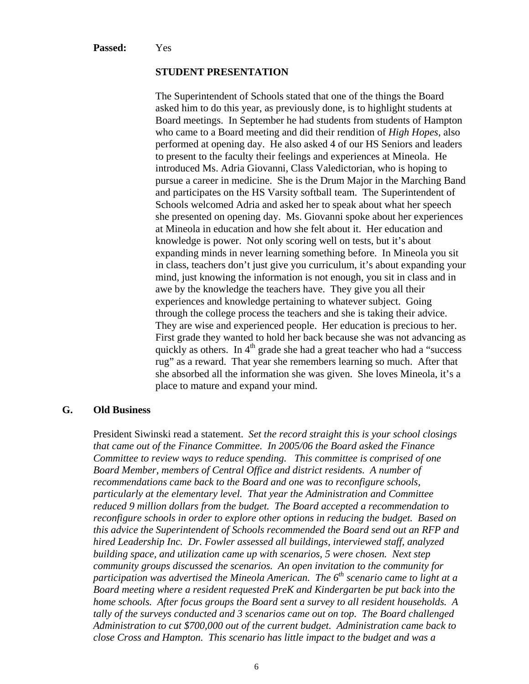#### **STUDENT PRESENTATION**

The Superintendent of Schools stated that one of the things the Board asked him to do this year, as previously done, is to highlight students at Board meetings. In September he had students from students of Hampton who came to a Board meeting and did their rendition of *High Hopes*, also performed at opening day. He also asked 4 of our HS Seniors and leaders to present to the faculty their feelings and experiences at Mineola. He introduced Ms. Adria Giovanni, Class Valedictorian, who is hoping to pursue a career in medicine. She is the Drum Major in the Marching Band and participates on the HS Varsity softball team. The Superintendent of Schools welcomed Adria and asked her to speak about what her speech she presented on opening day. Ms. Giovanni spoke about her experiences at Mineola in education and how she felt about it. Her education and knowledge is power. Not only scoring well on tests, but it's about expanding minds in never learning something before. In Mineola you sit in class, teachers don't just give you curriculum, it's about expanding your mind, just knowing the information is not enough, you sit in class and in awe by the knowledge the teachers have. They give you all their experiences and knowledge pertaining to whatever subject. Going through the college process the teachers and she is taking their advice. They are wise and experienced people. Her education is precious to her. First grade they wanted to hold her back because she was not advancing as quickly as others. In  $4<sup>th</sup>$  grade she had a great teacher who had a "success" rug" as a reward. That year she remembers learning so much. After that she absorbed all the information she was given. She loves Mineola, it's a place to mature and expand your mind.

#### **G. Old Business**

President Siwinski read a statement. *Set the record straight this is your school closings that came out of the Finance Committee. In 2005/06 the Board asked the Finance Committee to review ways to reduce spending. This committee is comprised of one Board Member, members of Central Office and district residents. A number of recommendations came back to the Board and one was to reconfigure schools, particularly at the elementary level. That year the Administration and Committee reduced 9 million dollars from the budget. The Board accepted a recommendation to reconfigure schools in order to explore other options in reducing the budget. Based on this advice the Superintendent of Schools recommended the Board send out an RFP and hired Leadership Inc. Dr. Fowler assessed all buildings, interviewed staff, analyzed building space, and utilization came up with scenarios, 5 were chosen. Next step community groups discussed the scenarios. An open invitation to the community for participation was advertised the Mineola American. The 6th scenario came to light at a Board meeting where a resident requested PreK and Kindergarten be put back into the home schools. After focus groups the Board sent a survey to all resident households. A tally of the surveys conducted and 3 scenarios came out on top. The Board challenged Administration to cut \$700,000 out of the current budget. Administration came back to close Cross and Hampton. This scenario has little impact to the budget and was a*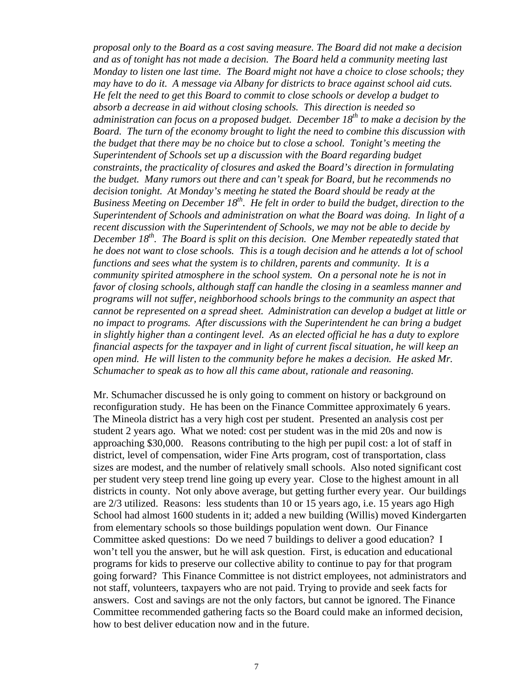*proposal only to the Board as a cost saving measure. The Board did not make a decision and as of tonight has not made a decision. The Board held a community meeting last Monday to listen one last time. The Board might not have a choice to close schools; they may have to do it. A message via Albany for districts to brace against school aid cuts. He felt the need to get this Board to commit to close schools or develop a budget to absorb a decrease in aid without closing schools. This direction is needed so administration can focus on a proposed budget. December 18th to make a decision by the Board. The turn of the economy brought to light the need to combine this discussion with the budget that there may be no choice but to close a school. Tonight's meeting the Superintendent of Schools set up a discussion with the Board regarding budget constraints, the practicality of closures and asked the Board's direction in formulating the budget. Many rumors out there and can't speak for Board, but he recommends no decision tonight. At Monday's meeting he stated the Board should be ready at the Business Meeting on December 18th. He felt in order to build the budget, direction to the Superintendent of Schools and administration on what the Board was doing. In light of a recent discussion with the Superintendent of Schools, we may not be able to decide by December 18th. The Board is split on this decision. One Member repeatedly stated that he does not want to close schools. This is a tough decision and he attends a lot of school functions and sees what the system is to children, parents and community. It is a community spirited atmosphere in the school system. On a personal note he is not in favor of closing schools, although staff can handle the closing in a seamless manner and programs will not suffer, neighborhood schools brings to the community an aspect that cannot be represented on a spread sheet. Administration can develop a budget at little or no impact to programs. After discussions with the Superintendent he can bring a budget in slightly higher than a contingent level. As an elected official he has a duty to explore financial aspects for the taxpayer and in light of current fiscal situation, he will keep an open mind. He will listen to the community before he makes a decision. He asked Mr. Schumacher to speak as to how all this came about, rationale and reasoning.* 

Mr. Schumacher discussed he is only going to comment on history or background on reconfiguration study. He has been on the Finance Committee approximately 6 years. The Mineola district has a very high cost per student. Presented an analysis cost per student 2 years ago. What we noted: cost per student was in the mid 20s and now is approaching \$30,000. Reasons contributing to the high per pupil cost: a lot of staff in district, level of compensation, wider Fine Arts program, cost of transportation, class sizes are modest, and the number of relatively small schools. Also noted significant cost per student very steep trend line going up every year. Close to the highest amount in all districts in county. Not only above average, but getting further every year. Our buildings are 2/3 utilized. Reasons: less students than 10 or 15 years ago, i.e. 15 years ago High School had almost 1600 students in it; added a new building (Willis) moved Kindergarten from elementary schools so those buildings population went down. Our Finance Committee asked questions: Do we need 7 buildings to deliver a good education? I won't tell you the answer, but he will ask question. First, is education and educational programs for kids to preserve our collective ability to continue to pay for that program going forward? This Finance Committee is not district employees, not administrators and not staff, volunteers, taxpayers who are not paid. Trying to provide and seek facts for answers. Cost and savings are not the only factors, but cannot be ignored. The Finance Committee recommended gathering facts so the Board could make an informed decision, how to best deliver education now and in the future.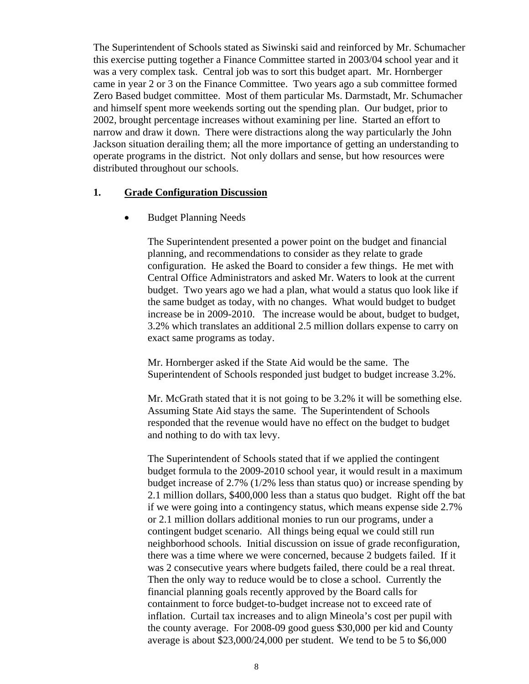The Superintendent of Schools stated as Siwinski said and reinforced by Mr. Schumacher this exercise putting together a Finance Committee started in 2003/04 school year and it was a very complex task. Central job was to sort this budget apart. Mr. Hornberger came in year 2 or 3 on the Finance Committee. Two years ago a sub committee formed Zero Based budget committee. Most of them particular Ms. Darmstadt, Mr. Schumacher and himself spent more weekends sorting out the spending plan. Our budget, prior to 2002, brought percentage increases without examining per line. Started an effort to narrow and draw it down. There were distractions along the way particularly the John Jackson situation derailing them; all the more importance of getting an understanding to operate programs in the district. Not only dollars and sense, but how resources were distributed throughout our schools.

#### **1. Grade Configuration Discussion**

• Budget Planning Needs

The Superintendent presented a power point on the budget and financial planning, and recommendations to consider as they relate to grade configuration. He asked the Board to consider a few things. He met with Central Office Administrators and asked Mr. Waters to look at the current budget. Two years ago we had a plan, what would a status quo look like if the same budget as today, with no changes. What would budget to budget increase be in 2009-2010. The increase would be about, budget to budget, 3.2% which translates an additional 2.5 million dollars expense to carry on exact same programs as today.

Mr. Hornberger asked if the State Aid would be the same. The Superintendent of Schools responded just budget to budget increase 3.2%.

Mr. McGrath stated that it is not going to be 3.2% it will be something else. Assuming State Aid stays the same. The Superintendent of Schools responded that the revenue would have no effect on the budget to budget and nothing to do with tax levy.

The Superintendent of Schools stated that if we applied the contingent budget formula to the 2009-2010 school year, it would result in a maximum budget increase of 2.7% (1/2% less than status quo) or increase spending by 2.1 million dollars, \$400,000 less than a status quo budget. Right off the bat if we were going into a contingency status, which means expense side 2.7% or 2.1 million dollars additional monies to run our programs, under a contingent budget scenario. All things being equal we could still run neighborhood schools. Initial discussion on issue of grade reconfiguration, there was a time where we were concerned, because 2 budgets failed. If it was 2 consecutive years where budgets failed, there could be a real threat. Then the only way to reduce would be to close a school. Currently the financial planning goals recently approved by the Board calls for containment to force budget-to-budget increase not to exceed rate of inflation. Curtail tax increases and to align Mineola's cost per pupil with the county average. For 2008-09 good guess \$30,000 per kid and County average is about \$23,000/24,000 per student. We tend to be 5 to \$6,000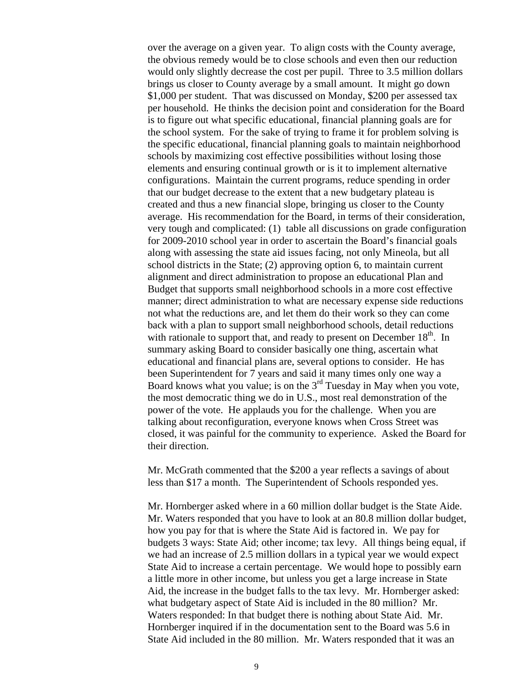over the average on a given year. To align costs with the County average, the obvious remedy would be to close schools and even then our reduction would only slightly decrease the cost per pupil. Three to 3.5 million dollars brings us closer to County average by a small amount. It might go down \$1,000 per student. That was discussed on Monday, \$200 per assessed tax per household. He thinks the decision point and consideration for the Board is to figure out what specific educational, financial planning goals are for the school system. For the sake of trying to frame it for problem solving is the specific educational, financial planning goals to maintain neighborhood schools by maximizing cost effective possibilities without losing those elements and ensuring continual growth or is it to implement alternative configurations. Maintain the current programs, reduce spending in order that our budget decrease to the extent that a new budgetary plateau is created and thus a new financial slope, bringing us closer to the County average. His recommendation for the Board, in terms of their consideration, very tough and complicated: (1) table all discussions on grade configuration for 2009-2010 school year in order to ascertain the Board's financial goals along with assessing the state aid issues facing, not only Mineola, but all school districts in the State; (2) approving option 6, to maintain current alignment and direct administration to propose an educational Plan and Budget that supports small neighborhood schools in a more cost effective manner; direct administration to what are necessary expense side reductions not what the reductions are, and let them do their work so they can come back with a plan to support small neighborhood schools, detail reductions with rationale to support that, and ready to present on December  $18<sup>th</sup>$ . In summary asking Board to consider basically one thing, ascertain what educational and financial plans are, several options to consider. He has been Superintendent for 7 years and said it many times only one way a Board knows what you value; is on the  $3<sup>rd</sup>$  Tuesday in May when you vote, the most democratic thing we do in U.S., most real demonstration of the power of the vote. He applauds you for the challenge. When you are talking about reconfiguration, everyone knows when Cross Street was closed, it was painful for the community to experience. Asked the Board for their direction.

Mr. McGrath commented that the \$200 a year reflects a savings of about less than \$17 a month. The Superintendent of Schools responded yes.

Mr. Hornberger asked where in a 60 million dollar budget is the State Aide. Mr. Waters responded that you have to look at an 80.8 million dollar budget, how you pay for that is where the State Aid is factored in. We pay for budgets 3 ways: State Aid; other income; tax levy. All things being equal, if we had an increase of 2.5 million dollars in a typical year we would expect State Aid to increase a certain percentage. We would hope to possibly earn a little more in other income, but unless you get a large increase in State Aid, the increase in the budget falls to the tax levy. Mr. Hornberger asked: what budgetary aspect of State Aid is included in the 80 million? Mr. Waters responded: In that budget there is nothing about State Aid. Mr. Hornberger inquired if in the documentation sent to the Board was 5.6 in State Aid included in the 80 million. Mr. Waters responded that it was an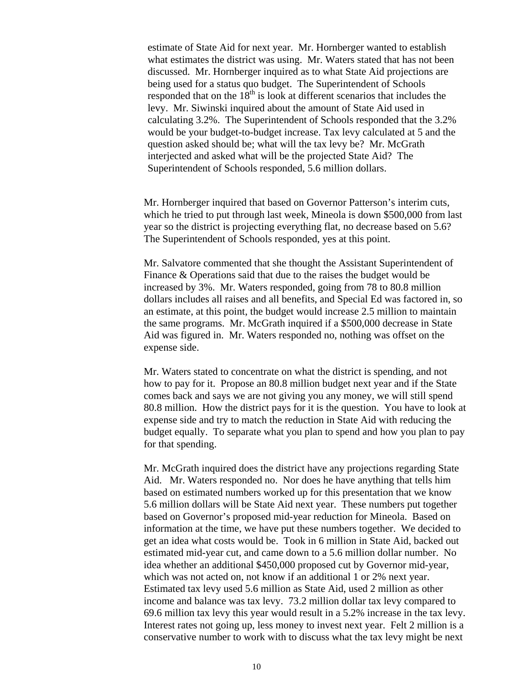estimate of State Aid for next year. Mr. Hornberger wanted to establish what estimates the district was using. Mr. Waters stated that has not been discussed. Mr. Hornberger inquired as to what State Aid projections are being used for a status quo budget. The Superintendent of Schools responded that on the  $18<sup>th</sup>$  is look at different scenarios that includes the levy. Mr. Siwinski inquired about the amount of State Aid used in calculating 3.2%. The Superintendent of Schools responded that the 3.2% would be your budget-to-budget increase. Tax levy calculated at 5 and the question asked should be; what will the tax levy be? Mr. McGrath interjected and asked what will be the projected State Aid? The Superintendent of Schools responded, 5.6 million dollars.

Mr. Hornberger inquired that based on Governor Patterson's interim cuts, which he tried to put through last week, Mineola is down \$500,000 from last year so the district is projecting everything flat, no decrease based on 5.6? The Superintendent of Schools responded, yes at this point.

Mr. Salvatore commented that she thought the Assistant Superintendent of Finance & Operations said that due to the raises the budget would be increased by 3%. Mr. Waters responded, going from 78 to 80.8 million dollars includes all raises and all benefits, and Special Ed was factored in, so an estimate, at this point, the budget would increase 2.5 million to maintain the same programs. Mr. McGrath inquired if a \$500,000 decrease in State Aid was figured in. Mr. Waters responded no, nothing was offset on the expense side.

Mr. Waters stated to concentrate on what the district is spending, and not how to pay for it. Propose an 80.8 million budget next year and if the State comes back and says we are not giving you any money, we will still spend 80.8 million. How the district pays for it is the question. You have to look at expense side and try to match the reduction in State Aid with reducing the budget equally. To separate what you plan to spend and how you plan to pay for that spending.

Mr. McGrath inquired does the district have any projections regarding State Aid. Mr. Waters responded no. Nor does he have anything that tells him based on estimated numbers worked up for this presentation that we know 5.6 million dollars will be State Aid next year. These numbers put together based on Governor's proposed mid-year reduction for Mineola. Based on information at the time, we have put these numbers together. We decided to get an idea what costs would be. Took in 6 million in State Aid, backed out estimated mid-year cut, and came down to a 5.6 million dollar number. No idea whether an additional \$450,000 proposed cut by Governor mid-year, which was not acted on, not know if an additional 1 or 2% next year. Estimated tax levy used 5.6 million as State Aid, used 2 million as other income and balance was tax levy. 73.2 million dollar tax levy compared to 69.6 million tax levy this year would result in a 5.2% increase in the tax levy. Interest rates not going up, less money to invest next year. Felt 2 million is a conservative number to work with to discuss what the tax levy might be next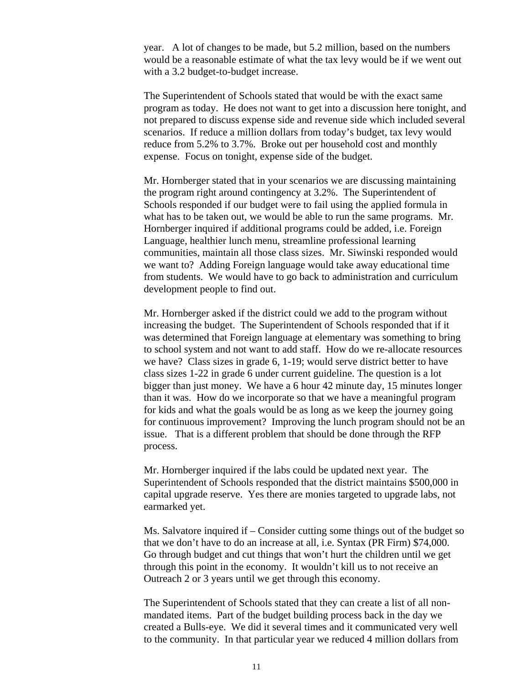year. A lot of changes to be made, but 5.2 million, based on the numbers would be a reasonable estimate of what the tax levy would be if we went out with a 3.2 budget-to-budget increase.

The Superintendent of Schools stated that would be with the exact same program as today. He does not want to get into a discussion here tonight, and not prepared to discuss expense side and revenue side which included several scenarios. If reduce a million dollars from today's budget, tax levy would reduce from 5.2% to 3.7%. Broke out per household cost and monthly expense. Focus on tonight, expense side of the budget.

Mr. Hornberger stated that in your scenarios we are discussing maintaining the program right around contingency at 3.2%. The Superintendent of Schools responded if our budget were to fail using the applied formula in what has to be taken out, we would be able to run the same programs. Mr. Hornberger inquired if additional programs could be added, i.e. Foreign Language, healthier lunch menu, streamline professional learning communities, maintain all those class sizes. Mr. Siwinski responded would we want to? Adding Foreign language would take away educational time from students. We would have to go back to administration and curriculum development people to find out.

Mr. Hornberger asked if the district could we add to the program without increasing the budget. The Superintendent of Schools responded that if it was determined that Foreign language at elementary was something to bring to school system and not want to add staff. How do we re-allocate resources we have? Class sizes in grade 6, 1-19; would serve district better to have class sizes 1-22 in grade 6 under current guideline. The question is a lot bigger than just money. We have a 6 hour 42 minute day, 15 minutes longer than it was. How do we incorporate so that we have a meaningful program for kids and what the goals would be as long as we keep the journey going for continuous improvement? Improving the lunch program should not be an issue. That is a different problem that should be done through the RFP process.

Mr. Hornberger inquired if the labs could be updated next year. The Superintendent of Schools responded that the district maintains \$500,000 in capital upgrade reserve. Yes there are monies targeted to upgrade labs, not earmarked yet.

Ms. Salvatore inquired if – Consider cutting some things out of the budget so that we don't have to do an increase at all, i.e. Syntax (PR Firm) \$74,000. Go through budget and cut things that won't hurt the children until we get through this point in the economy. It wouldn't kill us to not receive an Outreach 2 or 3 years until we get through this economy.

The Superintendent of Schools stated that they can create a list of all nonmandated items. Part of the budget building process back in the day we created a Bulls-eye. We did it several times and it communicated very well to the community. In that particular year we reduced 4 million dollars from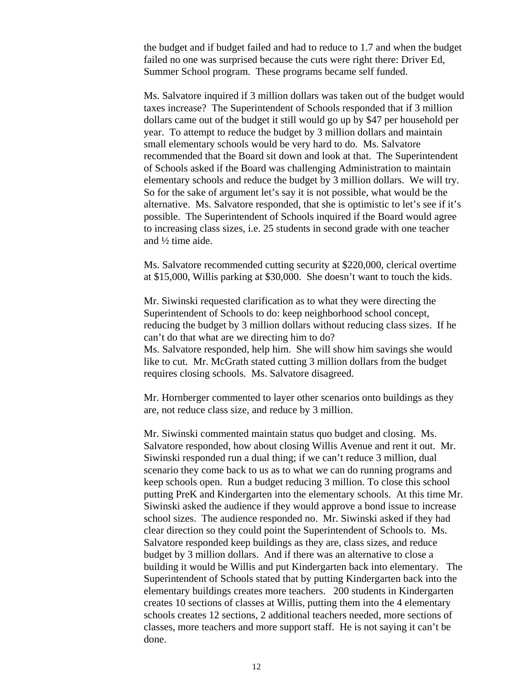the budget and if budget failed and had to reduce to 1.7 and when the budget failed no one was surprised because the cuts were right there: Driver Ed, Summer School program. These programs became self funded.

Ms. Salvatore inquired if 3 million dollars was taken out of the budget would taxes increase? The Superintendent of Schools responded that if 3 million dollars came out of the budget it still would go up by \$47 per household per year. To attempt to reduce the budget by 3 million dollars and maintain small elementary schools would be very hard to do. Ms. Salvatore recommended that the Board sit down and look at that. The Superintendent of Schools asked if the Board was challenging Administration to maintain elementary schools and reduce the budget by 3 million dollars. We will try. So for the sake of argument let's say it is not possible, what would be the alternative. Ms. Salvatore responded, that she is optimistic to let's see if it's possible. The Superintendent of Schools inquired if the Board would agree to increasing class sizes, i.e. 25 students in second grade with one teacher and ½ time aide.

Ms. Salvatore recommended cutting security at \$220,000, clerical overtime at \$15,000, Willis parking at \$30,000. She doesn't want to touch the kids.

Mr. Siwinski requested clarification as to what they were directing the Superintendent of Schools to do: keep neighborhood school concept, reducing the budget by 3 million dollars without reducing class sizes. If he can't do that what are we directing him to do? Ms. Salvatore responded, help him. She will show him savings she would like to cut. Mr. McGrath stated cutting 3 million dollars from the budget requires closing schools. Ms. Salvatore disagreed.

Mr. Hornberger commented to layer other scenarios onto buildings as they are, not reduce class size, and reduce by 3 million.

Mr. Siwinski commented maintain status quo budget and closing. Ms. Salvatore responded, how about closing Willis Avenue and rent it out. Mr. Siwinski responded run a dual thing; if we can't reduce 3 million, dual scenario they come back to us as to what we can do running programs and keep schools open. Run a budget reducing 3 million. To close this school putting PreK and Kindergarten into the elementary schools. At this time Mr. Siwinski asked the audience if they would approve a bond issue to increase school sizes. The audience responded no. Mr. Siwinski asked if they had clear direction so they could point the Superintendent of Schools to. Ms. Salvatore responded keep buildings as they are, class sizes, and reduce budget by 3 million dollars. And if there was an alternative to close a building it would be Willis and put Kindergarten back into elementary. The Superintendent of Schools stated that by putting Kindergarten back into the elementary buildings creates more teachers. 200 students in Kindergarten creates 10 sections of classes at Willis, putting them into the 4 elementary schools creates 12 sections, 2 additional teachers needed, more sections of classes, more teachers and more support staff. He is not saying it can't be done.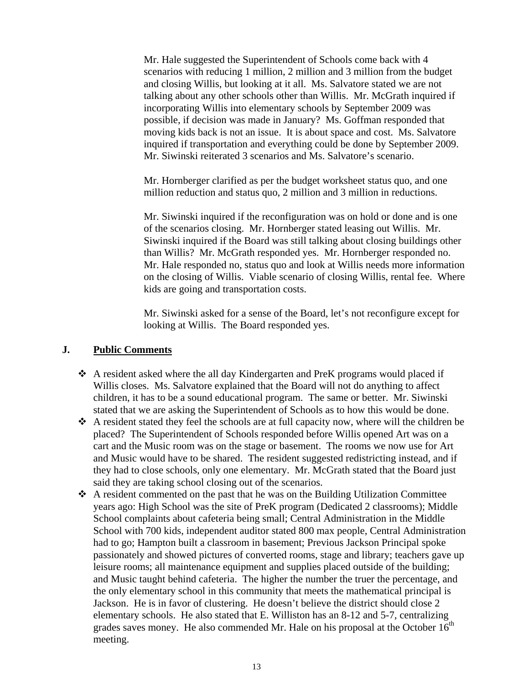Mr. Hale suggested the Superintendent of Schools come back with 4 scenarios with reducing 1 million, 2 million and 3 million from the budget and closing Willis, but looking at it all. Ms. Salvatore stated we are not talking about any other schools other than Willis. Mr. McGrath inquired if incorporating Willis into elementary schools by September 2009 was possible, if decision was made in January? Ms. Goffman responded that moving kids back is not an issue. It is about space and cost. Ms. Salvatore inquired if transportation and everything could be done by September 2009. Mr. Siwinski reiterated 3 scenarios and Ms. Salvatore's scenario.

Mr. Hornberger clarified as per the budget worksheet status quo, and one million reduction and status quo, 2 million and 3 million in reductions.

Mr. Siwinski inquired if the reconfiguration was on hold or done and is one of the scenarios closing. Mr. Hornberger stated leasing out Willis. Mr. Siwinski inquired if the Board was still talking about closing buildings other than Willis? Mr. McGrath responded yes. Mr. Hornberger responded no. Mr. Hale responded no, status quo and look at Willis needs more information on the closing of Willis. Viable scenario of closing Willis, rental fee. Where kids are going and transportation costs.

Mr. Siwinski asked for a sense of the Board, let's not reconfigure except for looking at Willis. The Board responded yes.

#### **J. Public Comments**

- A resident asked where the all day Kindergarten and PreK programs would placed if Willis closes. Ms. Salvatore explained that the Board will not do anything to affect children, it has to be a sound educational program. The same or better. Mr. Siwinski stated that we are asking the Superintendent of Schools as to how this would be done.
- A resident stated they feel the schools are at full capacity now, where will the children be placed? The Superintendent of Schools responded before Willis opened Art was on a cart and the Music room was on the stage or basement. The rooms we now use for Art and Music would have to be shared. The resident suggested redistricting instead, and if they had to close schools, only one elementary. Mr. McGrath stated that the Board just said they are taking school closing out of the scenarios.
- A resident commented on the past that he was on the Building Utilization Committee years ago: High School was the site of PreK program (Dedicated 2 classrooms); Middle School complaints about cafeteria being small; Central Administration in the Middle School with 700 kids, independent auditor stated 800 max people, Central Administration had to go; Hampton built a classroom in basement; Previous Jackson Principal spoke passionately and showed pictures of converted rooms, stage and library; teachers gave up leisure rooms; all maintenance equipment and supplies placed outside of the building; and Music taught behind cafeteria. The higher the number the truer the percentage, and the only elementary school in this community that meets the mathematical principal is Jackson. He is in favor of clustering. He doesn't believe the district should close 2 elementary schools. He also stated that E. Williston has an 8-12 and 5-7, centralizing grades saves money. He also commended Mr. Hale on his proposal at the October  $16<sup>th</sup>$ meeting.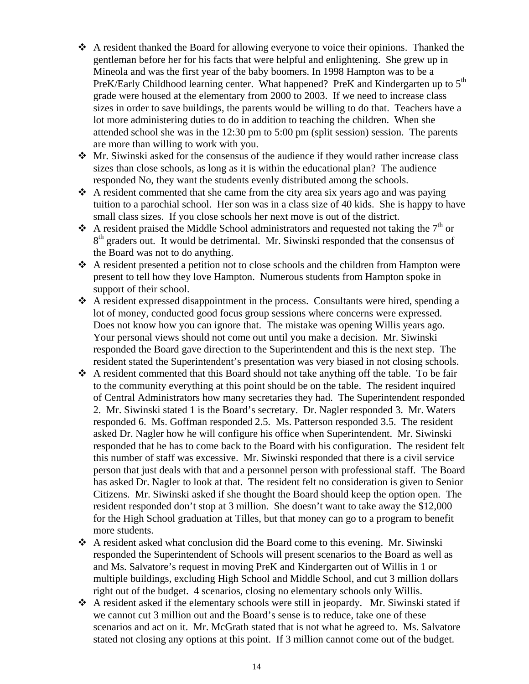- A resident thanked the Board for allowing everyone to voice their opinions. Thanked the gentleman before her for his facts that were helpful and enlightening. She grew up in Mineola and was the first year of the baby boomers. In 1998 Hampton was to be a PreK/Early Childhood learning center. What happened? PreK and Kindergarten up to 5<sup>th</sup> grade were housed at the elementary from 2000 to 2003. If we need to increase class sizes in order to save buildings, the parents would be willing to do that. Teachers have a lot more administering duties to do in addition to teaching the children. When she attended school she was in the 12:30 pm to 5:00 pm (split session) session. The parents are more than willing to work with you.
- $\cdot$  Mr. Siwinski asked for the consensus of the audience if they would rather increase class sizes than close schools, as long as it is within the educational plan? The audience responded No, they want the students evenly distributed among the schools.
- $\triangle$  A resident commented that she came from the city area six years ago and was paying tuition to a parochial school. Her son was in a class size of 40 kids. She is happy to have small class sizes. If you close schools her next move is out of the district.
- A resident praised the Middle School administrators and requested not taking the  $7<sup>th</sup>$  or  $8<sup>th</sup>$  graders out. It would be detrimental. Mr. Siwinski responded that the consensus of the Board was not to do anything.
- A resident presented a petition not to close schools and the children from Hampton were present to tell how they love Hampton. Numerous students from Hampton spoke in support of their school.
- A resident expressed disappointment in the process. Consultants were hired, spending a lot of money, conducted good focus group sessions where concerns were expressed. Does not know how you can ignore that. The mistake was opening Willis years ago. Your personal views should not come out until you make a decision. Mr. Siwinski responded the Board gave direction to the Superintendent and this is the next step. The resident stated the Superintendent's presentation was very biased in not closing schools.
- $\triangle$  A resident commented that this Board should not take anything off the table. To be fair to the community everything at this point should be on the table. The resident inquired of Central Administrators how many secretaries they had. The Superintendent responded 2. Mr. Siwinski stated 1 is the Board's secretary. Dr. Nagler responded 3. Mr. Waters responded 6. Ms. Goffman responded 2.5. Ms. Patterson responded 3.5. The resident asked Dr. Nagler how he will configure his office when Superintendent. Mr. Siwinski responded that he has to come back to the Board with his configuration. The resident felt this number of staff was excessive. Mr. Siwinski responded that there is a civil service person that just deals with that and a personnel person with professional staff. The Board has asked Dr. Nagler to look at that. The resident felt no consideration is given to Senior Citizens. Mr. Siwinski asked if she thought the Board should keep the option open. The resident responded don't stop at 3 million. She doesn't want to take away the \$12,000 for the High School graduation at Tilles, but that money can go to a program to benefit more students.
- $\triangle$  A resident asked what conclusion did the Board come to this evening. Mr. Siwinski responded the Superintendent of Schools will present scenarios to the Board as well as and Ms. Salvatore's request in moving PreK and Kindergarten out of Willis in 1 or multiple buildings, excluding High School and Middle School, and cut 3 million dollars right out of the budget. 4 scenarios, closing no elementary schools only Willis.
- A resident asked if the elementary schools were still in jeopardy. Mr. Siwinski stated if we cannot cut 3 million out and the Board's sense is to reduce, take one of these scenarios and act on it. Mr. McGrath stated that is not what he agreed to. Ms. Salvatore stated not closing any options at this point. If 3 million cannot come out of the budget.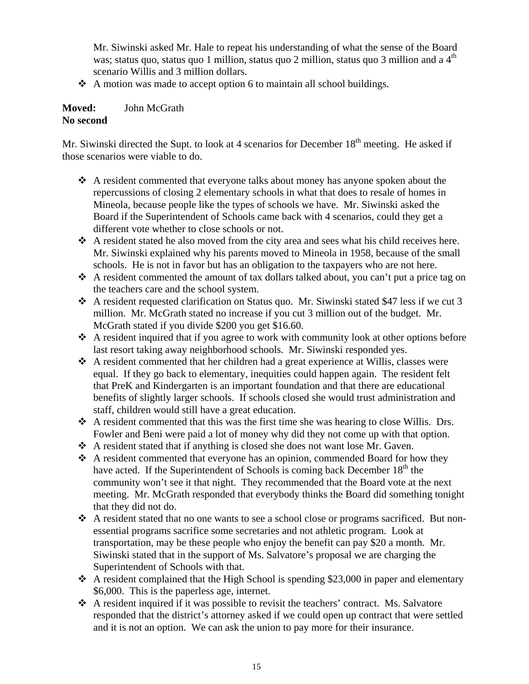Mr. Siwinski asked Mr. Hale to repeat his understanding of what the sense of the Board was; status quo, status quo 1 million, status quo 2 million, status quo 3 million and a  $4<sup>th</sup>$ scenario Willis and 3 million dollars.

 $\triangle$  A motion was made to accept option 6 to maintain all school buildings.

## **Moved:** John McGrath **No second**

Mr. Siwinski directed the Supt. to look at 4 scenarios for December  $18<sup>th</sup>$  meeting. He asked if those scenarios were viable to do.

- A resident commented that everyone talks about money has anyone spoken about the repercussions of closing 2 elementary schools in what that does to resale of homes in Mineola, because people like the types of schools we have. Mr. Siwinski asked the Board if the Superintendent of Schools came back with 4 scenarios, could they get a different vote whether to close schools or not.
- $\triangle$  A resident stated he also moved from the city area and sees what his child receives here. Mr. Siwinski explained why his parents moved to Mineola in 1958, because of the small schools. He is not in favor but has an obligation to the taxpayers who are not here.
- $\triangle$  A resident commented the amount of tax dollars talked about, you can't put a price tag on the teachers care and the school system.
- A resident requested clarification on Status quo. Mr. Siwinski stated \$47 less if we cut 3 million. Mr. McGrath stated no increase if you cut 3 million out of the budget. Mr. McGrath stated if you divide \$200 you get \$16.60.
- A resident inquired that if you agree to work with community look at other options before last resort taking away neighborhood schools. Mr. Siwinski responded yes.
- $\triangle$  A resident commented that her children had a great experience at Willis, classes were equal. If they go back to elementary, inequities could happen again. The resident felt that PreK and Kindergarten is an important foundation and that there are educational benefits of slightly larger schools. If schools closed she would trust administration and staff, children would still have a great education.
- $\triangle$  A resident commented that this was the first time she was hearing to close Willis. Drs. Fowler and Beni were paid a lot of money why did they not come up with that option.
- A resident stated that if anything is closed she does not want lose Mr. Gaven.
- A resident commented that everyone has an opinion, commended Board for how they have acted. If the Superintendent of Schools is coming back December  $18<sup>th</sup>$  the community won't see it that night. They recommended that the Board vote at the next meeting. Mr. McGrath responded that everybody thinks the Board did something tonight that they did not do.
- A resident stated that no one wants to see a school close or programs sacrificed. But nonessential programs sacrifice some secretaries and not athletic program. Look at transportation, may be these people who enjoy the benefit can pay \$20 a month. Mr. Siwinski stated that in the support of Ms. Salvatore's proposal we are charging the Superintendent of Schools with that.
- $\cdot$  A resident complained that the High School is spending \$23,000 in paper and elementary \$6,000. This is the paperless age, internet.
- A resident inquired if it was possible to revisit the teachers' contract. Ms. Salvatore responded that the district's attorney asked if we could open up contract that were settled and it is not an option. We can ask the union to pay more for their insurance.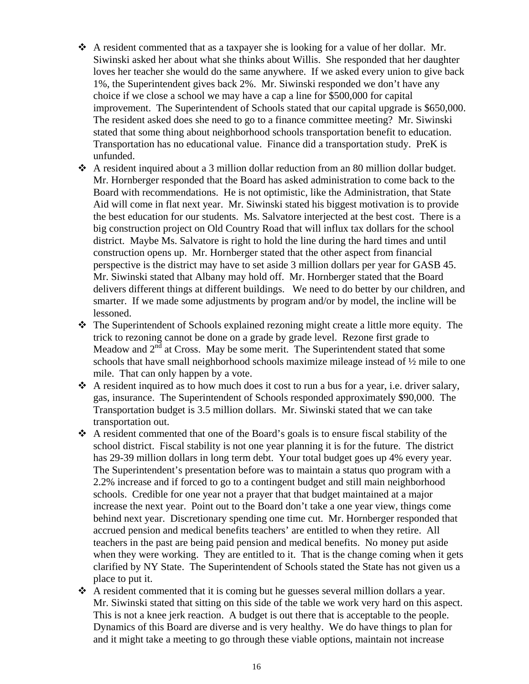- $\triangle$  A resident commented that as a taxpayer she is looking for a value of her dollar. Mr. Siwinski asked her about what she thinks about Willis. She responded that her daughter loves her teacher she would do the same anywhere. If we asked every union to give back 1%, the Superintendent gives back 2%. Mr. Siwinski responded we don't have any choice if we close a school we may have a cap a line for \$500,000 for capital improvement. The Superintendent of Schools stated that our capital upgrade is \$650,000. The resident asked does she need to go to a finance committee meeting? Mr. Siwinski stated that some thing about neighborhood schools transportation benefit to education. Transportation has no educational value. Finance did a transportation study. PreK is unfunded.
- $\triangle$  A resident inquired about a 3 million dollar reduction from an 80 million dollar budget. Mr. Hornberger responded that the Board has asked administration to come back to the Board with recommendations. He is not optimistic, like the Administration, that State Aid will come in flat next year. Mr. Siwinski stated his biggest motivation is to provide the best education for our students. Ms. Salvatore interjected at the best cost. There is a big construction project on Old Country Road that will influx tax dollars for the school district. Maybe Ms. Salvatore is right to hold the line during the hard times and until construction opens up. Mr. Hornberger stated that the other aspect from financial perspective is the district may have to set aside 3 million dollars per year for GASB 45. Mr. Siwinski stated that Albany may hold off. Mr. Hornberger stated that the Board delivers different things at different buildings. We need to do better by our children, and smarter. If we made some adjustments by program and/or by model, the incline will be lessoned.
- The Superintendent of Schools explained rezoning might create a little more equity. The trick to rezoning cannot be done on a grade by grade level. Rezone first grade to Meadow and  $2<sup>nd</sup>$  at Cross. May be some merit. The Superintendent stated that some schools that have small neighborhood schools maximize mileage instead of ½ mile to one mile. That can only happen by a vote.
- $\triangle$  A resident inquired as to how much does it cost to run a bus for a year, i.e. driver salary, gas, insurance. The Superintendent of Schools responded approximately \$90,000. The Transportation budget is 3.5 million dollars. Mr. Siwinski stated that we can take transportation out.
- $\triangle$  A resident commented that one of the Board's goals is to ensure fiscal stability of the school district. Fiscal stability is not one year planning it is for the future. The district has 29-39 million dollars in long term debt. Your total budget goes up 4% every year. The Superintendent's presentation before was to maintain a status quo program with a 2.2% increase and if forced to go to a contingent budget and still main neighborhood schools. Credible for one year not a prayer that that budget maintained at a major increase the next year. Point out to the Board don't take a one year view, things come behind next year. Discretionary spending one time cut. Mr. Hornberger responded that accrued pension and medical benefits teachers' are entitled to when they retire. All teachers in the past are being paid pension and medical benefits. No money put aside when they were working. They are entitled to it. That is the change coming when it gets clarified by NY State. The Superintendent of Schools stated the State has not given us a place to put it.
- A resident commented that it is coming but he guesses several million dollars a year. Mr. Siwinski stated that sitting on this side of the table we work very hard on this aspect. This is not a knee jerk reaction. A budget is out there that is acceptable to the people. Dynamics of this Board are diverse and is very healthy. We do have things to plan for and it might take a meeting to go through these viable options, maintain not increase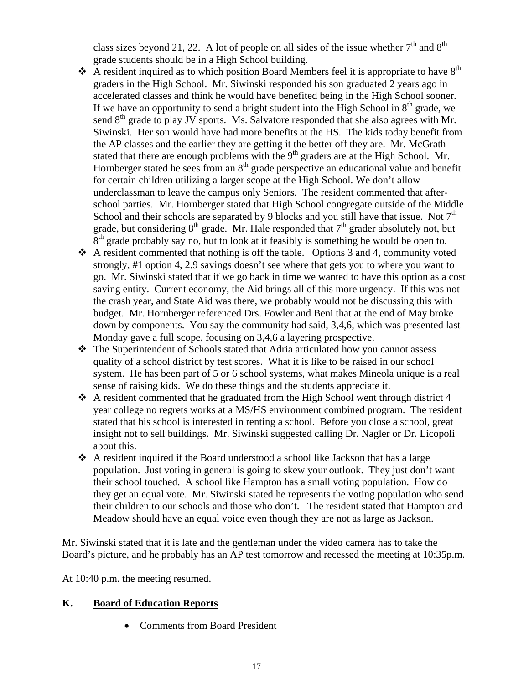class sizes beyond 21, 22. A lot of people on all sides of the issue whether  $7<sup>th</sup>$  and  $8<sup>th</sup>$ grade students should be in a High School building.

- A resident inquired as to which position Board Members feel it is appropriate to have  $8<sup>th</sup>$ graders in the High School. Mr. Siwinski responded his son graduated 2 years ago in accelerated classes and think he would have benefited being in the High School sooner. If we have an opportunity to send a bright student into the High School in  $8<sup>th</sup>$  grade, we send  $8<sup>th</sup>$  grade to play JV sports. Ms. Salvatore responded that she also agrees with Mr. Siwinski. Her son would have had more benefits at the HS. The kids today benefit from the AP classes and the earlier they are getting it the better off they are. Mr. McGrath stated that there are enough problems with the  $9<sup>th</sup>$  graders are at the High School. Mr. Hornberger stated he sees from an  $8<sup>th</sup>$  grade perspective an educational value and benefit for certain children utilizing a larger scope at the High School. We don't allow underclassman to leave the campus only Seniors. The resident commented that afterschool parties. Mr. Hornberger stated that High School congregate outside of the Middle School and their schools are separated by 9 blocks and you still have that issue. Not  $7<sup>th</sup>$ grade, but considering  $8<sup>th</sup>$  grade. Mr. Hale responded that  $7<sup>th</sup>$  grader absolutely not, but  $8<sup>th</sup>$  grade probably say no, but to look at it feasibly is something he would be open to.
- A resident commented that nothing is off the table. Options 3 and 4, community voted strongly, #1 option 4, 2.9 savings doesn't see where that gets you to where you want to go. Mr. Siwinski stated that if we go back in time we wanted to have this option as a cost saving entity. Current economy, the Aid brings all of this more urgency. If this was not the crash year, and State Aid was there, we probably would not be discussing this with budget. Mr. Hornberger referenced Drs. Fowler and Beni that at the end of May broke down by components. You say the community had said, 3,4,6, which was presented last Monday gave a full scope, focusing on 3,4,6 a layering prospective.
- The Superintendent of Schools stated that Adria articulated how you cannot assess quality of a school district by test scores. What it is like to be raised in our school system. He has been part of 5 or 6 school systems, what makes Mineola unique is a real sense of raising kids. We do these things and the students appreciate it.
- A resident commented that he graduated from the High School went through district 4 year college no regrets works at a MS/HS environment combined program. The resident stated that his school is interested in renting a school. Before you close a school, great insight not to sell buildings. Mr. Siwinski suggested calling Dr. Nagler or Dr. Licopoli about this.
- A resident inquired if the Board understood a school like Jackson that has a large population. Just voting in general is going to skew your outlook. They just don't want their school touched. A school like Hampton has a small voting population. How do they get an equal vote. Mr. Siwinski stated he represents the voting population who send their children to our schools and those who don't. The resident stated that Hampton and Meadow should have an equal voice even though they are not as large as Jackson.

Mr. Siwinski stated that it is late and the gentleman under the video camera has to take the Board's picture, and he probably has an AP test tomorrow and recessed the meeting at 10:35p.m.

At 10:40 p.m. the meeting resumed.

## **K. Board of Education Reports**

• Comments from Board President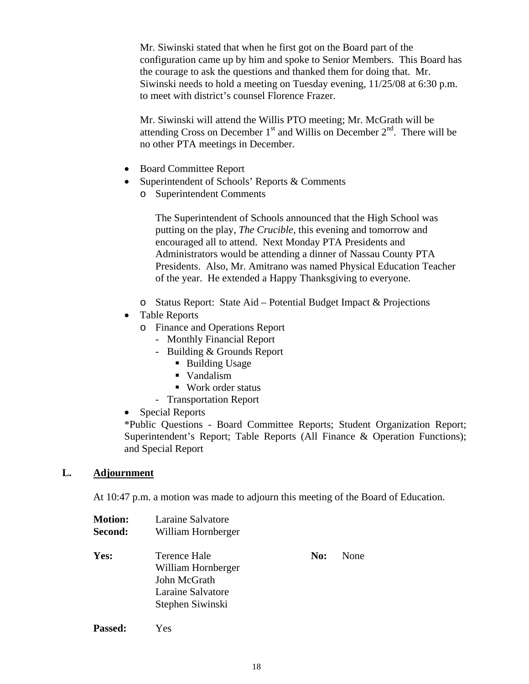Mr. Siwinski stated that when he first got on the Board part of the configuration came up by him and spoke to Senior Members. This Board has the courage to ask the questions and thanked them for doing that. Mr. Siwinski needs to hold a meeting on Tuesday evening, 11/25/08 at 6:30 p.m. to meet with district's counsel Florence Frazer.

Mr. Siwinski will attend the Willis PTO meeting; Mr. McGrath will be attending Cross on December  $1<sup>st</sup>$  and Willis on December  $2<sup>nd</sup>$ . There will be no other PTA meetings in December.

- Board Committee Report
- Superintendent of Schools' Reports & Comments
	- o Superintendent Comments

The Superintendent of Schools announced that the High School was putting on the play, *The Crucible*, this evening and tomorrow and encouraged all to attend. Next Monday PTA Presidents and Administrators would be attending a dinner of Nassau County PTA Presidents. Also, Mr. Amitrano was named Physical Education Teacher of the year. He extended a Happy Thanksgiving to everyone.

- o Status Report: State Aid Potential Budget Impact & Projections
- Table Reports
	- o Finance and Operations Report
		- Monthly Financial Report
		- Building & Grounds Report
			- Building Usage
			- Vandalism
			- Work order status
		- Transportation Report
- Special Reports

\*Public Questions - Board Committee Reports; Student Organization Report; Superintendent's Report; Table Reports (All Finance & Operation Functions); and Special Report

#### **L. Adjournment**

At 10:47 p.m. a motion was made to adjourn this meeting of the Board of Education.

| Laraine Salvatore                                                                           |     |      |
|---------------------------------------------------------------------------------------------|-----|------|
| William Hornberger                                                                          |     |      |
| Terence Hale<br>William Hornberger<br>John McGrath<br>Laraine Salvatore<br>Stephen Siwinski | No: | None |
|                                                                                             |     |      |

**Passed:** Yes